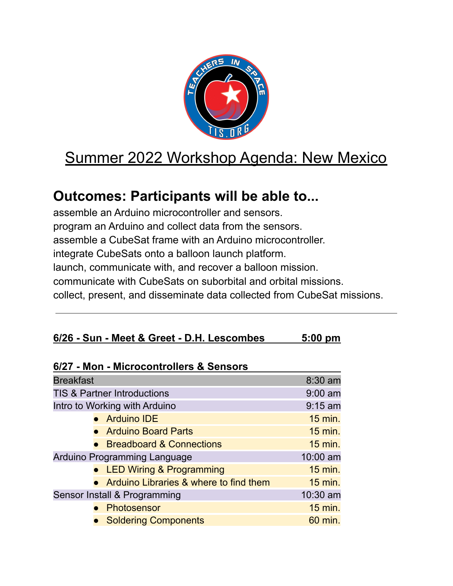

## Summer 2022 Workshop Agenda: New Mexico

## **Outcomes: Participants will be able to...**

assemble an Arduino microcontroller and sensors. program an Arduino and collect data from the sensors. assemble a CubeSat frame with an Arduino microcontroller. integrate CubeSats onto a balloon launch platform. launch, communicate with, and recover a balloon mission. communicate with CubeSats on suborbital and orbital missions. collect, present, and disseminate data collected from CubeSat missions.

|  | 6/26 - Sun - Meet & Greet - D.H. Lescombes | $5:00 \text{ pm}$ |
|--|--------------------------------------------|-------------------|
|--|--------------------------------------------|-------------------|

| 6/27 - Mon - Microcontrollers & Sensors |                |
|-----------------------------------------|----------------|
| <b>Breakfast</b>                        | 8:30 am        |
| <b>TIS &amp; Partner Introductions</b>  | $9:00$ am      |
| Intro to Working with Arduino           | $9:15$ am      |
| • Arduino IDE                           | $15$ min.      |
| • Arduino Board Parts                   | $15$ min.      |
| • Breadboard & Connections              | $15$ min.      |
| Arduino Programming Language            | 10:00 am       |
| <b>LED Wiring &amp; Programming</b>     | <b>15 min.</b> |
| Arduino Libraries & where to find them  | <b>15 min.</b> |
| Sensor Install & Programming            | 10:30 am       |
| Photosensor                             | 15 min.        |
| <b>Soldering Components</b>             | 60 min.        |
|                                         |                |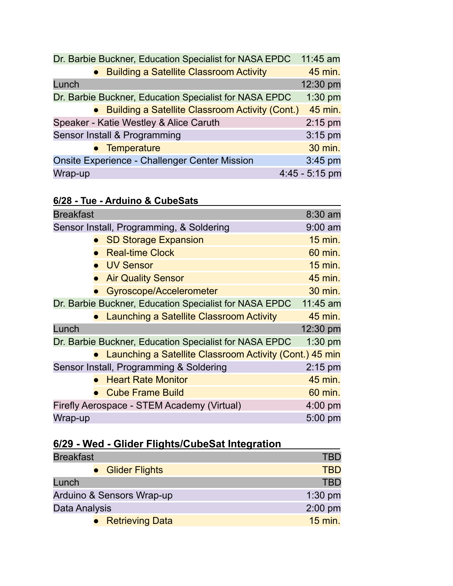|         | Dr. Barbie Buckner, Education Specialist for NASA EPDC | 11:45 am         |
|---------|--------------------------------------------------------|------------------|
|         | • Building a Satellite Classroom Activity              | 45 min.          |
| Lunch   |                                                        | 12:30 pm         |
|         | Dr. Barbie Buckner, Education Specialist for NASA EPDC | $1:30$ pm        |
|         | • Building a Satellite Classroom Activity (Cont.)      | 45 min.          |
|         | Speaker - Katie Westley & Alice Caruth                 | $2:15$ pm        |
|         | Sensor Install & Programming                           | $3:15$ pm        |
|         | • Temperature                                          | 30 min.          |
|         | <b>Onsite Experience - Challenger Center Mission</b>   | $3:45$ pm        |
| Wrap-up |                                                        | $4:45 - 5:15$ pm |

| 6/28 - Tue - Arduino & CubeSats |
|---------------------------------|
|---------------------------------|

| <b>Breakfast</b> |                                                           | 8:30 am        |
|------------------|-----------------------------------------------------------|----------------|
|                  | Sensor Install, Programming, & Soldering                  | $9:00$ am      |
|                  | • SD Storage Expansion                                    | <b>15 min.</b> |
|                  | <b>Real-time Clock</b>                                    | 60 min.        |
|                  | • UV Sensor                                               | <b>15 min.</b> |
|                  | • Air Quality Sensor                                      | 45 min.        |
|                  | Gyroscope/Accelerometer                                   | 30 min.        |
|                  | Dr. Barbie Buckner, Education Specialist for NASA EPDC    | $11:45$ am     |
|                  | • Launching a Satellite Classroom Activity                | 45 min.        |
| Lunch            |                                                           | 12:30 pm       |
|                  | Dr. Barbie Buckner, Education Specialist for NASA EPDC    | $1:30$ pm      |
|                  | • Launching a Satellite Classroom Activity (Cont.) 45 min |                |
|                  | Sensor Install, Programming & Soldering                   | $2:15$ pm      |
|                  | <b>Heart Rate Monitor</b>                                 | 45 min.        |
|                  | <b>Cube Frame Build</b>                                   | 60 min.        |
|                  | Firefly Aerospace - STEM Academy (Virtual)                | 4:00 pm        |
| Wrap-up          |                                                           | 5:00 pm        |

## **6/29 - Wed - Glider Flights/CubeSat Integration**

| <b>Breakfast</b>          | <b>TBD</b> |
|---------------------------|------------|
| • Glider Flights          | <b>TBD</b> |
| Lunch                     | <b>TBD</b> |
| Arduino & Sensors Wrap-up | $1:30$ pm  |
| Data Analysis             | $2:00$ pm  |
| • Retrieving Data         | $15$ min.  |